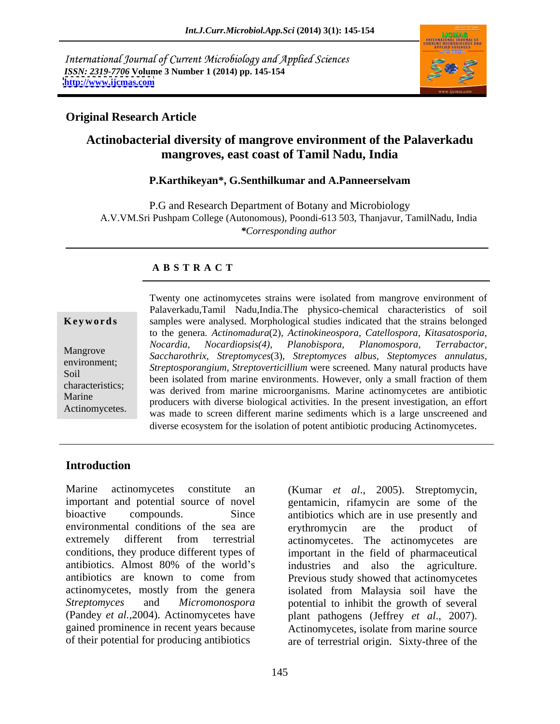International Journal of Current Microbiology and Applied Sciences *ISSN: 2319-7706* **Volume 3 Number 1 (2014) pp. 145-154 <http://www.ijcmas.com>**



### **Original Research Article**

# **Actinobacterial diversity of mangrove environment of the Palaverkadu mangroves, east coast of Tamil Nadu, India**

#### **P.Karthikeyan\*, G.Senthilkumar and A.Panneerselvam**

P.G and Research Department of Botany and Microbiology A.V.VM.Sri Pushpam College (Autonomous), Poondi-613 503, Thanjavur, TamilNadu, India *\*Corresponding author* 

#### **A B S T R A C T**

**Keywords** samples were analysed. Morphological studies indicated that the strains belonged Mangrove *Saccharothrix, Streptomyces*(3), *Streptomyces albus, Steptomyces annulatus,* environment;<br>*Streptosporangium, Streptoverticillium* were screened. Many natural products have Soil been isolated from marine environments. However, only a small fraction of them characteristics; was derived from marine microorganisms. Marine actinomycetes are antibiotic Marine<br>Actinomystic producers with diverse biological activities. In the present investigation, an effort Actinomycetes.<br>was made to screen different marine sediments which is a large unscreened and Twenty one actinomycetes strains were isolated from mangrove environment of Palaverkadu,Tamil Nadu,India.The physico-chemical characteristics of soil to the genera*. Actinomadura*(2)*, Actinokineospora, Catellospora, Kitasatosporia, Nocardia, Nocardiopsis(4), Planobispora, Planomospora, Terrabactor,* diverse ecosystem for the isolation of potent antibiotic producing Actinomycetes.

### **Introduction**

Marine actinomycetes constitute an (Kumar *et al*., 2005). Streptomycin, important and potential source of novel gentamicin, rifamycin are some of the bioactive compounds. Since antibiotics which are in use presently and environmental conditions of the sea are erythromycin are the product of extremely different from terrestrial actinomycetes. The actinomycetes are conditions, they produce different types of important in the field of pharmaceutical antibiotics. Almost 80% of the world's industries and also the agriculture. antibiotics are known to come from Previous study showed that actinomycetes actinomycetes, mostly from the genera isolated from Malaysia soil have the *Streptomyces* and *Micromonospora*  potential to inhibit the growth of several (Pandey *et al.,*2004). Actinomycetes have plant pathogens (Jeffrey *et al*., 2007). gained prominence in recent years because Actinomycetes, isolate from marine source

of their potential for producing antibiotics are of terrestrial origin. Sixty-three of the erythromycin are the product of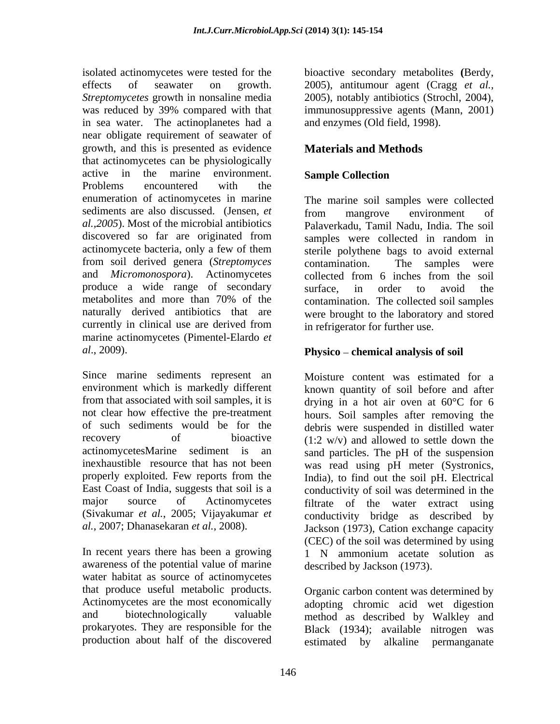isolated actinomycetes were tested for the bioactive secondary metabolites **(**Berdy, effects of seawater on growth. 2005), antitumour agent (Cragg *et al., Streptomycetes* growth in nonsaline media 2005), notably antibiotics (Strochl, 2004), was reduced by 39% compared with that immunosuppressive agents (Mann, 2001) in sea water. The actinoplanetes had a near obligate requirement of seawater of growth, and this is presented as evidence that actinomycetes can be physiologically active in the marine environment. Sample Collection Problems encountered with the enumeration of actinomycetes in marine sediments are also discussed. (Jensen, *et* **from** mangrove environment of actinomycete bacteria, only a few of them from soil derived genera (*Streptomyces*  and *Micromonospora*). Actinomycetes collected from 6 inches from the soil produce a wide range of secondary surface, in order to avoid the metabolites and more than 70% of the naturally derived antibiotics that are currently in clinical use are derived from marine actinomycetes (Pimentel-Elardo *et al*., 2009). **Physico chemical analysis of soil**

Since marine sediments represent an Moisture content was estimated for a environment which is markedly different known quantity of soil before and after from that associated with soil samples, it is  $\alpha$  drying in a hot air oven at 60 $\degree$ C for 6 not clear how effective the pre-treatment hours. Soil samples after removing the of such sediments would be for the debris were suspended in distilled water recovery of bioactive  $(1:2 \text{ w/v})$  and allowed to settle down the actinomycetesMarine sediment is an sand particles. The pH of the suspension inexhaustible resource that has not been was read using pH meter (Systronics, properly exploited. Few reports from the India), to find out the soil pH. Electrical East Coast of India, suggests that soil is a conductivity of soil was determined in the major source of Actinomycetes filtrate of the water extract using (Sivakumar *et al.*, 2005; Vijayakumar *et* 

awareness of the potential value of marine water habitat as source of actinomycetes that produce useful metabolic products. Actinomycetes are the most economically immunosuppressive agents (Mann, 2001) and enzymes (Old field, 1998).

# **Materials and Methods**

## **Sample Collection**

*al.,2005*). Most of the microbial antibiotics Palaverkadu, Tamil Nadu, India. The soil discovered so far are originated from samples were collected in random in The marine soil samples were collected from mangrove environment of samples were collected in random in sterile polythene bags to avoid external contamination. The samples were collected from 6 inches from the soil surface, in order to avoid the contamination. The collected soil samples were brought to the laboratory and stored in refrigerator for further use.

*al.*, 2007; Dhanasekaran *et al.*, 2008). Jackson (1973), Cation exchange capacity In recent years there has been a growing 1 N ammonium acetate solution as conductivity bridge as described by (CEC) of the soil was determined by using described by Jackson (1973).

and biotechnologically valuable method as described by Walkley and prokaryotes. They are responsible for the Black (1934); available nitrogen was production about half of the discovered estimated by alkaline permanganate Organic carbon content was determined by adopting chromic acid wet digestion estimated by alkaline permanganate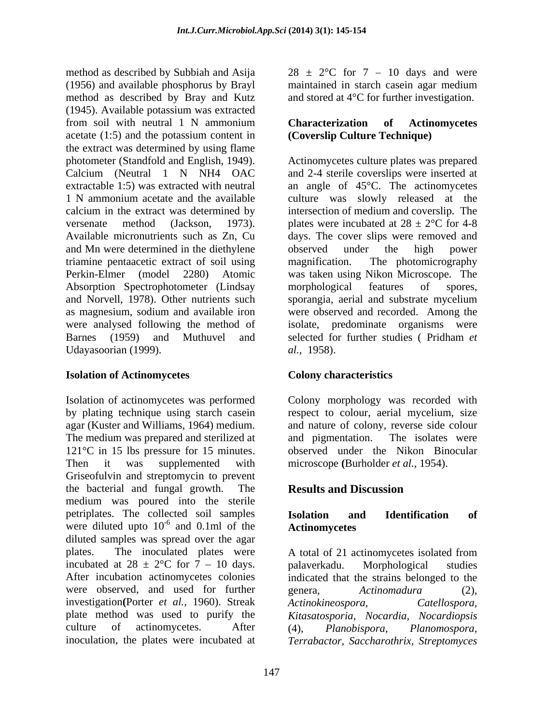method as described by Subbiah and Asija  $28 \pm 2$ °C for  $7 - 10$  days and were (1956) and available phosphorus by Brayl method as described by Bray and Kutz (1945). Available potassium was extracted from soil with neutral 1 N ammonium<br> **Characterization of Actinomycetes** acetate (1:5) and the potassium content in the extract was determined by using flame photometer (Standfold and English, 1949). Actinomycetes culture plates was prepared Calcium (Neutral 1 N NH4 OAC and 2-4 sterile coverslips were inserted at extractable 1:5) was extracted with neutral an angle of 45°C. The actinomycetes 1 N ammonium acetate and the available culture was slowly released at the calcium in the extract was determined by intersection of medium and coverslip. The versenate method (Jackson, 1973). plates were incubated at  $28 \pm 2^{\circ}$ C for 4-8 Available micronutrients such as Zn, Cu days. The cover slips were removed and and Mn were determined in the diethylene observed under the high power triamine pentaacetic extract of soil using magnification. The photomicrography Perkin-Elmer (model 2280) Atomic was taken using Nikon Microscope. The Absorption Spectrophotometer (Lindsay morphological features of spores, and Norvell, 1978). Other nutrients such sporangia, aerial and substrate mycelium as magnesium, sodium and available iron were observed and recorded. Among the were analysed following the method of isolate, predominate organisms were Barnes (1959) and Muthuvel and selected for further studies (Pridham et Udayasoorian (1999). *al.*, 1958).

#### **Isolation of Actinomycetes**

Isolation of actinomycetes was performed Colony morphology was recorded with by plating technique using starch casein respect to colour, aerial mycelium, size agar (Kuster and Williams, 1964) medium. and nature of colony, reverse side colour The medium was prepared and sterilized at and pigmentation. The isolates were 121°C in 15 lbs pressure for 15 minutes. observed under the Nikon Binocular Then it was supplemented with microscope **(**Burholder *et al.,* 1954). Griseofulvin and streptomycin to prevent the bacterial and fungal growth. The medium was poured into the sterile petriplates. The collected soil samples were diluted upto  $10^{-6}$  and 0.1ml of the Actinomycetes diluted samples was spread over the agar plates. The inoculated plates were A total of 21 actinomycetes isolated from incubated at  $28 \pm 2$ °C for 7 – 10 days. palaverkadu. Morphological studies After incubation actinomycetes colonies indicated that the strains belonged to the were observed, and used for further genera, Actinomadura (2). investigation**(**Porter *et al.,* 1960). Streak plate method was used to purify the *Kitasatosporia, Nocardia, Nocardiopsis* culture of actinomycetes. After (4), *Planobispora*, *Planomospora*,

maintained in starch casein agar medium and stored at 4°C for further investigation.

### **Characterization of Actinomycetes (Coverslip Culture Technique)**

observed under the high power magnification. The photomicrography morphological features of spores, selected for further studies ( Pridham *et al.,* 1958).

## **Colony characteristics**

and pigmentation. The isolates were

# **Results and Discussion**

#### $-6$  and  $0.1$ ml of the  $\overline{A}$  the survey of  $\overline{A}$ and 0.1ml of the **Actinomycetes Isolation and Identification of Actinomycetes**

inoculation, the plates were incubated at *Terrabactor, Saccharothrix, Streptomyces*palaverkadu. Morphological studies genera*, Actinomadura* (2)*, Actinokineospora, Catellospora,* (4), *Planobispora, Planomospora,*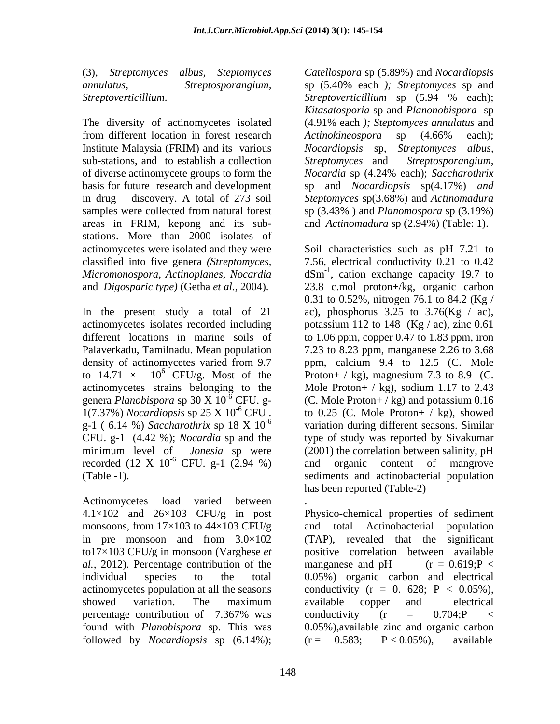from different location in forest research Actinokineospora sp (4.66% each); Institute Malaysia (FRIM) and its various *Nocardiopsis* sp. *Streptomyces albus*, sub-stations, and to establish a collection Streptomyces and Streptosporangium, of diverse actinomycete groups to form the *Nocardia* sp (4.24% each); Saccharothrix basis for future research and development sp and *Nocardiopsis* sp(4.17%) *and* in drug discovery. A total of 273 soil Steptomyces sp(3.68%) and Actinomadura samples were collected from natural forest sp  $(3.43\%)$  and *Planomospora* sp  $(3.19\%)$ areas in FRIM, kepong and its sub stations. More than 2000 isolates of

1(7.37%) *Nocardiopsis* sp 25 X 10-6 recorded  $(12 \text{ X } 10^{-6} \text{ CFU. g-1 } (2.94 \%)$  and organic content of mangrove

Actinomycetes load varied between . 4.1×102 and 26×103 CFU/g in post monsoons, from  $17\times103$  to  $44\times103$  CFU/g and total Actinobacterial population *al.,* 2012). Percentage contribution of the manganese and pH  $(r = 0.619)$ ; P < found with *Planobispora* sp. This was followed by *Nocardiopsis* sp  $(6.14\%)$ ;  $(r = 0.583; P < 0.05\%)$ , available

(3), *Streptomyces albus, Steptomyces Catellospora* sp (5.89%) and *Nocardiopsis annulatus, Streptosporangium,* sp (5.40% each *); Streptomyces* sp and *Streptoverticillium*. Streptoverticillium sp (5.94 % each);<br>Kitasatosporia sp and Planonobispora sp<br>The diversity of actinomycetes isolated (4.91% each); Steptomyces annulatus and *Streptoverticillium* sp (5.94 % each); *Kitasatosporia* sp and *Planonobispora* sp (4.91% each *); Steptomyces annulatus* and *Actinokineospora* sp (4.66% each); *Nocardiopsis* sp, *Streptomyces albus, Streptomyces* and *Streptosporangium, Nocardia* sp (4.24% each); *Saccharothrix Steptomyces* sp(3.68%) and *Actinomadura* sp (3.43% ) and *Planomospora* sp (3.19%) and *Actinomadura* sp (2.94%) (Table: 1).

actinomycetes were isolated and they were Soil characteristics such as pH 7.21 to classified into five genera *(Streptomyces,*  7.56, electrical conductivity 0.21 to 0.42 *Micromonospora, Actinoplanes, Nocardia* dSm-1 , cation exchange capacity 19.7 to and *Digosparic type)* (Getha *et al.,* 2004). 23.8 c.mol proton+/kg, organic carbon In the present study a total of 21 ac), phosphorus 3.25 to  $3.76$ (Kg / ac), actinomycetes isolates recorded including potassium 112 to 148 (Kg / ac), zinc 0.61 different locations in marine soils of to 1.06 ppm, copper 0.47 to 1.83 ppm, iron Palaverkadu, Tamilnadu. Mean population 7.23 to 8.23 ppm, manganese 2.26 to 3.68 density of actinomycetes varied from 9.7 ppm, calcium 9.4 to 12.5 (C. Mole to  $14.71 \times 10^6$  CFU/g. Most of the Proton+ / kg), magnesium 7.3 to 8.9 (C. actinomycetes strains belonging to the Mole Proton+ / kg), sodium 1.17 to 2.43 genera *Planobispora* sp 30 X  $10^{-6}$  CFU. g- (C. Mole Proton+ / kg) and potassium 0.16 CFU . to 0.25 (C. Mole Proton+ / kg), showed g-1 (6.14 %) *Saccharothrix* sp 18 X 10<sup>-6</sup> variation during different seasons. Similar CFU. g-1 (4.42 %); *Nocardia* sp and the type of study was reported by Sivakumar minimum level of *Jonesia* sp were (2001) the correlation between salinity, pH  $-6$  CFU. g-1 (2.94 %) and organic content of mangrove (Table -1). sediments and actinobacterial population 0.31 to 0.52%, nitrogen 76.1 to 84.2 (Kg / and organic content of mangrove has been reported (Table-2)

in pre monsoon and from  $3.0 \times 102$  (TAP), revealed that the significant to17×103 CFU/g in monsoon (Varghese *et*  positive correlation between available individual species to the total 0.05%) organic carbon and electrical actinomycetes population at all the seasons conductivity  $(r = 0.628; P < 0.05\%)$ , showed variation. The maximum available copper and electrical percentage contribution of  $7.367\%$  was conductivity (r =  $0.704$ ; P < .<br>Physico-chemical properties of sediment and total Actinobacterial population (TAP), revealed that the significant manganese and  $pH$  ( $r = 0.619; P <$ available copper and electrical conductivity (r  $=$  0.704;P  $<$ 0.05%),available zinc and organic carbon  $(r = 0.583)$ ;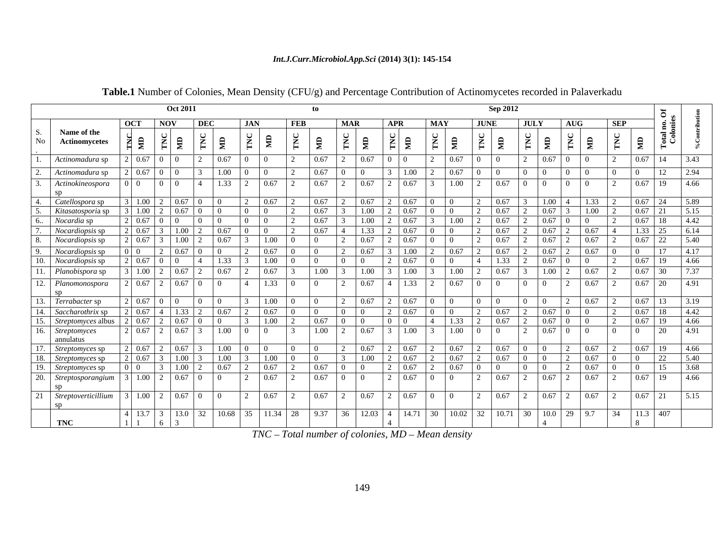#### *Int.J.Curr.Microbiol.App.Sci* **(2014) 3(1): 145-154**

|                                                                                                                                                |                                    | <b>Oct 2011</b> |                                            |                                                                                                                    |        |                                                 |                                                                 |                             |                                                                                 | <b>Sep 2012</b>                      |                                                                               |                                                                                                                                                      |                                         |                                |
|------------------------------------------------------------------------------------------------------------------------------------------------|------------------------------------|-----------------|--------------------------------------------|--------------------------------------------------------------------------------------------------------------------|--------|-------------------------------------------------|-----------------------------------------------------------------|-----------------------------|---------------------------------------------------------------------------------|--------------------------------------|-------------------------------------------------------------------------------|------------------------------------------------------------------------------------------------------------------------------------------------------|-----------------------------------------|--------------------------------|
|                                                                                                                                                | OC.                                | NOV             |                                            |                                                                                                                    |        |                                                 | APR                                                             | <b>MAY</b>                  | <b>JUNE</b>                                                                     |                                      | JULY<br>AUG                                                                   | <b>SEP</b>                                                                                                                                           |                                         |                                |
| Name of the<br><b>Actinomycetes</b>                                                                                                            |                                    |                 |                                            |                                                                                                                    |        | the contract of the contract of the contract of |                                                                 |                             | the contract of the contract of the contract of the contract of the contract of |                                      |                                                                               |                                                                                                                                                      | ___                                     |                                |
| Actinomadura sp                                                                                                                                | 0.67                               |                 | 0.67                                       |                                                                                                                    |        | 0.67                                            |                                                                 | 0.67                        |                                                                                 |                                      | $0.67$ 0 0                                                                    | $\begin{array}{c} \hline \end{array}$                                                                                                                | $0.67$ 14                               | 3.43                           |
| Actinomadura sp                                                                                                                                | 0.67                               |                 | 1.00                                       |                                                                                                                    |        |                                                 | $\parallel$ 3   1.00                                            | 0.67                        |                                                                                 |                                      | $\begin{array}{ccc} \n\begin{array}{ccc} \n0 & \n\end{array} & \n\end{array}$ |                                                                                                                                                      | -12                                     | 2.94                           |
| Actinokineospora                                                                                                                               | 010101014                          |                 | 1.33                                       |                                                                                                                    | 0.67   | 0.67                                            | 0.67                                                            |                             | $1.00$   2                                                                      | 0.67                                 | $\begin{array}{c c} 0 & 0 \end{array}$<br>$\Box$                              |                                                                                                                                                      | $0.67$   19                             | 4.66                           |
| Catellospora sp                                                                                                                                | 1.00                               |                 |                                            |                                                                                                                    |        | 0.67                                            | $2 \ 0.67$                                                      |                             |                                                                                 | 0.67                                 | 1.00 1                                                                        |                                                                                                                                                      | 24                                      | 5.89                           |
| Kitasatosporia sp                                                                                                                              | $\overline{1.00}$                  |                 |                                            |                                                                                                                    |        | 1.00                                            | 0.67                                                            |                             |                                                                                 | 0.67                                 |                                                                               | 1.00                                                                                                                                                 |                                         |                                |
| <i>Nocardia</i> sp                                                                                                                             | 2   0.67   0   0                   |                 |                                            | $\begin{array}{ccc} 1 & 0 \\ 0 & 0 \end{array}$                                                                    | 0.67   | 1.00                                            | 0.67                                                            | $\vert$ 1.00                |                                                                                 | 0.67                                 | $0.67$ 0 0                                                                    |                                                                                                                                                      | $0.67$   18                             | 4.42                           |
| Nocardiopsis sp                                                                                                                                | 0.67                               |                 |                                            |                                                                                                                    |        |                                                 | 0.67                                                            |                             |                                                                                 | 0.67                                 |                                                                               | 0.67                                                                                                                                                 |                                         | -6.14                          |
| <i>Nocardiopsis</i> sp                                                                                                                         | $2 \mid 0.67 \mid$ 3               | 1.00            |                                            |                                                                                                                    |        | 0.67                                            |                                                                 |                             |                                                                                 |                                      |                                                                               |                                                                                                                                                      |                                         | 5.40                           |
| Nocardiopsis sp                                                                                                                                |                                    |                 |                                            |                                                                                                                    |        |                                                 |                                                                 |                             |                                                                                 | 0.67                                 |                                                                               |                                                                                                                                                      |                                         |                                |
| <i>Nocardiopsis</i> sp                                                                                                                         | $0.67 \pm 0$                       |                 | 1.33                                       | $\vert 1.00 \vert 0$                                                                                               |        | $\begin{array}{c} 0 \end{array}$                | 2 0.67                                                          | $0 \quad 0$                 | $4 \t 1.33$                                                                     |                                      | $0.67$ 0                                                                      | $\overline{0}$                                                                                                                                       | 19                                      | 4.66                           |
| Planobispora sp                                                                                                                                | $3 \mid 1.00 \mid 2 \mid 0.67$     |                 | 0.67                                       | $\begin{array}{ c c c c c c } \hline 0.67 & \begin{array}{ c c c c } \hline \end{array} & 3 \\ \hline \end{array}$ |        |                                                 | $1.00 \quad 3 \quad 1.00$                                       |                             | $1.00$ 2                                                                        | 0.67                                 | $1.00 \,   \, 2$                                                              | $\mid 0.67$                                                                                                                                          | 0.67<br>$\vert 30 \vert$                |                                |
| Planomonospora                                                                                                                                 | $2 \mid 0.67 \mid 2$               | $0.67 \pm 0$    | — <del>1 — 1 — — 1 — — 1 — — 1 — — 1</del> | $\begin{array}{ c c c c c c c c } \hline 0 & 4 & 1.33 & 0 \\ \hline \end{array}$                                   |        |                                                 |                                                                 |                             |                                                                                 |                                      | $\begin{array}{ccc} & 0 & 1 \end{array}$                                      | $\mid$ 0.67                                                                                                                                          | —— <del>——————————</del><br>$0.67$   20 | — <del>—</del> —————<br>  4.91 |
|                                                                                                                                                |                                    |                 |                                            |                                                                                                                    |        |                                                 |                                                                 |                             |                                                                                 |                                      |                                                                               |                                                                                                                                                      |                                         |                                |
| Terrabacter sp                                                                                                                                 | 2   0.67   0   0                   |                 | $\overline{0}$                             | $\begin{array}{ c c c c c } \hline 3 & 1.00 & 0 \\ \hline \end{array}$                                             |        | 0.67                                            | $2 \t 0.67$                                                     |                             | $0 \t 0 \t 0 \t 0$                                                              | $\begin{array}{ccc} \n\end{array}$ 0 |                                                                               | 0.67                                                                                                                                                 | $0.67$ 13                               | 3.19                           |
| Saccharothrix sp                                                                                                                               | $2\mid 0.67 \mid 4 \mid 1.33 \mid$ |                 | 0.67                                       | $0.67 \pm 0$                                                                                                       |        | $\pm 0$<br>$\mathbf{u}$                         | $2 \t 0.67$                                                     | $\Box$ $\Box$ $\Box$ $\Box$ |                                                                                 | 0.67                                 | $\begin{bmatrix} 0.67 & 0 & 0 \end{bmatrix}$                                  |                                                                                                                                                      | $0.67$ 1 18                             | 4.42                           |
| Streptomyces albus                                                                                                                             | 0.67                               |                 |                                            | 1.00                                                                                                               |        |                                                 |                                                                 |                             | 1.33                                                                            | 0.67                                 |                                                                               |                                                                                                                                                      | -19                                     | 4.66                           |
| <i>Streptomyces</i>                                                                                                                            | 2 0.67                             | 0.67            | $1.00 \quad 0 \quad 0$                     |                                                                                                                    | 1.00   | 0.67                                            | $3 \t1.00$                                                      |                             | $\begin{array}{c c} 1.00 & 0 \end{array}$                                       | $\Box$ 0                             | $0.67$ 0 0                                                                    |                                                                                                                                                      | 20                                      | 4.91                           |
| annulatus                                                                                                                                      |                                    |                 |                                            |                                                                                                                    |        |                                                 |                                                                 |                             |                                                                                 |                                      |                                                                               |                                                                                                                                                      |                                         |                                |
| Streptomyces sp                                                                                                                                | 2   0.67   2                       | 0.67            |                                            | $1.00 \quad 0 \quad 0 \quad 0$                                                                                     | 10     |                                                 | $0.67$ 2 0.67                                                   |                             | $0.67$ 2                                                                        | $0.67$ 0                             |                                                                               | $\mid$ 0.67                                                                                                                                          | l 0.67<br>19                            | -4.66                          |
| Streptomyces sp                                                                                                                                | 2   0.67   3                       | 1.00            | $1.00 \pm 3$                               | $\begin{array}{ c c c c c } \hline 1.00 & 0 \\ \hline \end{array}$<br>$\boxed{0.67}$ 2                             |        | 1.00                                            | 0.67<br>the contract of the contract of the contract of<br>0.67 | $\frac{1}{0.67}$            | $0.67$ 2                                                                        | 0.67<br>$\overline{0}$               | $\overline{0}$                                                                | 0.67                                                                                                                                                 |                                         | 5.40                           |
| <i>Streptomyces</i> sp                                                                                                                         |                                    | 1.00            | 0.67                                       |                                                                                                                    |        |                                                 |                                                                 |                             |                                                                                 |                                      |                                                                               | 0.67                                                                                                                                                 |                                         | 3.68                           |
| Streptosporangium                                                                                                                              | $3 \mid 1.00 \mid 2$               | $0.67 \pm 0$    | $\begin{array}{ccc} \hline \end{array}$    | 0.67                                                                                                               | l 0.67 | $\Box$                                          | 0.67                                                            | $\Box$ 0 $\Box$ 0 $\Box$    | $\begin{array}{ccc} & 2 \end{array}$                                            | 0.67                                 | 0.67                                                                          | $\mid$ 0.67                                                                                                                                          | $0.67$   19                             | 14.66                          |
| Streptoverticillium   3   1.00   2   0.67   0   0   2   0.67   2   0.67   2   0.67   0   0   0   2   0.67   2   0.67   2   0.67   2   0.67   2 |                                    |                 |                                            |                                                                                                                    |        |                                                 |                                                                 |                             |                                                                                 |                                      |                                                                               |                                                                                                                                                      | $0.67$   21   5.15                      |                                |
|                                                                                                                                                |                                    |                 |                                            |                                                                                                                    |        |                                                 |                                                                 |                             |                                                                                 |                                      |                                                                               |                                                                                                                                                      |                                         |                                |
|                                                                                                                                                |                                    |                 |                                            |                                                                                                                    |        |                                                 |                                                                 |                             |                                                                                 |                                      |                                                                               | 4  13.7   3   13.0   32   10.68   35   11.34   28   9.37   36   12.03   4   14.71   30   10.02   32   10.71   30   10.0   29   9.7   34   11.3   407 |                                         |                                |
| TNC                                                                                                                                            |                                    |                 |                                            |                                                                                                                    |        |                                                 |                                                                 |                             |                                                                                 |                                      |                                                                               |                                                                                                                                                      |                                         |                                |

**Table.1** Number of Colonies, Mean Density (CFU/g) and Percentage Contribution of Actinomycetes recorded in Palaverkadu

*TNC - Total number of colonies, MD - Mean density*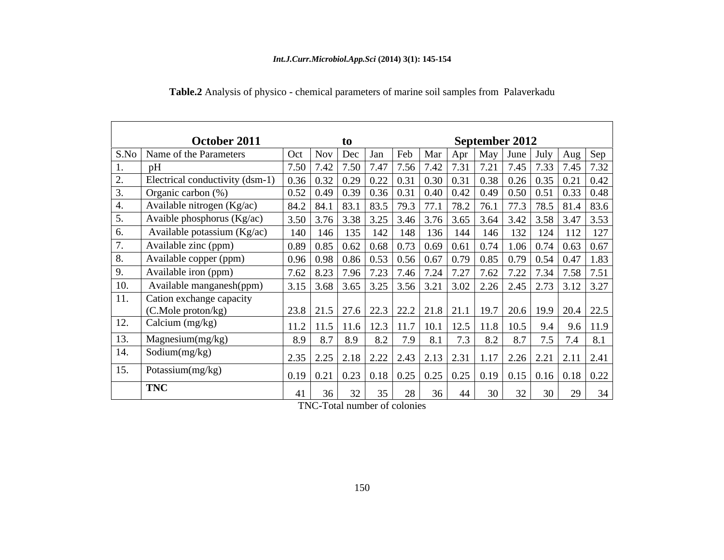|     | October 2011                                                                                                                                                          | to                                                                                                                                                          |                   |    | September 2012 |                 |    |                 |                               |
|-----|-----------------------------------------------------------------------------------------------------------------------------------------------------------------------|-------------------------------------------------------------------------------------------------------------------------------------------------------------|-------------------|----|----------------|-----------------|----|-----------------|-------------------------------|
|     | S.No   Name of the Parameters                                                                                                                                         | Oct   Nov   Dec   Jan   Feb   Mar   Apr   May   June   July   Aug   Sep                                                                                     |                   |    |                |                 |    |                 |                               |
|     | pH                                                                                                                                                                    | 7.50   7.42   7.50   7.47   7.56   7.42   7.31   7.21   7.45   7.33   7.45   7.32                                                                           |                   |    |                |                 |    |                 |                               |
|     | Electrical conductivity (dsm-1) $\vert 0.36 \vert 0.32 \vert 0.29 \vert 0.22 \vert 0.31 \vert 0.30 \vert 0.31 \vert 0.38 \vert 0.26 \vert 0.35 \vert 0.21 \vert 0.42$ |                                                                                                                                                             |                   |    |                |                 |    |                 |                               |
|     | Organic carbon $(\%)$                                                                                                                                                 | 0.52   0.49   0.39   0.36   0.31   0.40   0.42   0.49   0.50   0.51   0.33   0.48                                                                           |                   |    |                |                 |    |                 |                               |
|     | Available nitrogen (Kg/ac)                                                                                                                                            | $ 84.2 84.1 83.1 83.5 79.3 77.1 78.2 76.1 77.3 78.5 81.4 83.6$                                                                                              |                   |    |                |                 |    |                 |                               |
|     | Avaible phosphorus (Kg/ac)                                                                                                                                            | $\vert 3.50 \vert 3.76 \vert 3.38 \vert 3.25 \vert 3.46 \vert 3.76 \vert 3.65 \vert 3.64 \vert 3.42 \vert 3.58 \vert 3.47 \vert 3.53$                       |                   |    |                |                 |    |                 |                               |
| 6.  | Available potassium (Kg/ac)                                                                                                                                           | 140   146   135   142   148   136   144   146   132   124   112   127                                                                                       |                   |    |                |                 |    |                 |                               |
|     | Available zinc (ppm)                                                                                                                                                  | $\vert 0.89 \vert 0.85 \vert 0.62 \vert 0.68 \vert 0.73 \vert 0.69 \vert 0.61 \vert 0.74 \vert 1.06 \vert 0.74 \vert 0.63 \vert 0.67$                       |                   |    |                |                 |    |                 |                               |
| 8.  | Available copper (ppm)                                                                                                                                                | $\vert 0.96 \vert 0.98 \vert 0.86 \vert 0.53 \vert 0.56 \vert 0.67 \vert 0.79 \vert 0.85 \vert 0.79 \vert 0.54 \vert 0.47 \vert 1.83$                       |                   |    |                |                 |    |                 |                               |
| 9.  | Available iron (ppm)                                                                                                                                                  | 7.62   8.23   7.96   7.23   7.46   7.24   7.27   7.62   7.22   7.34   7.58   7.51                                                                           |                   |    |                |                 |    |                 |                               |
| 10. | Available manganesh(ppm)                                                                                                                                              | $\vert$ 3.15 $\vert$ 3.68 $\vert$ 3.65 $\vert$ 3.25 $\vert$ 3.56 $\vert$ 3.21 $\vert$ 3.02 $\vert$ 2.26 $\vert$ 2.45 $\vert$ 2.73 $\vert$ 3.12 $\vert$ 3.27 |                   |    |                |                 |    |                 |                               |
| 11. | Cation exchange capacity                                                                                                                                              |                                                                                                                                                             |                   |    |                |                 |    |                 |                               |
|     | (C.Mole proton/kg)                                                                                                                                                    | $\vert$ 23.8 $\vert$ 21.5 $\vert$ 27.6 $\vert$ 22.3 $\vert$ 22.2 $\vert$ 21.8 $\vert$ 21.1 $\vert$ 19.7 $\vert$ 20.6 $\vert$ 19.9 $\vert$ 20.4 $\vert$ 22.5 |                   |    |                |                 |    |                 |                               |
| 12. | Calcium (mg/kg)                                                                                                                                                       | 11.2   11.5   11.6   12.3   11.7   10.1   12.5   11.8   10.5   9.4   9.6   11.9                                                                             |                   |    |                |                 |    |                 |                               |
| 13. | Magnesium(mg/kg)                                                                                                                                                      | 8.9 8.7 8.9 8.2 7.9 8.1 7.3                                                                                                                                 |                   |    |                |                 |    |                 | $8.2$   8.7   7.5   7.4   8.1 |
| 14. | Sodium $(mg/kg)$                                                                                                                                                      |                                                                                                                                                             |                   |    |                |                 |    |                 |                               |
|     |                                                                                                                                                                       | 2.35   2.25   2.18   2.22   2.43   2.13   2.31   1.17   2.26   2.21   2.11   2.41                                                                           |                   |    |                |                 |    |                 |                               |
| 15. | Potassium(mg/kg)                                                                                                                                                      | $\vert$ 0.19 $\vert$ 0.21 $\vert$ 0.23 $\vert$ 0.18 $\vert$ 0.25 $\vert$ 0.25 $\vert$ 0.25 $\vert$ 0.19 $\vert$ 0.15 $\vert$ 0.16 $\vert$ 0.18 $\vert$ 0.22 |                   |    |                |                 |    |                 |                               |
|     | <b>TNC</b>                                                                                                                                                            | 36<br>32                                                                                                                                                    | $35 \mid 28 \mid$ | 36 | 44             | 30 <sup>2</sup> | 32 | 30 <sup>1</sup> | 29 34                         |

**Table.2** Analysis of physico - chemical parameters of marine soil samples from Palaverkadu

TNC-Total number of colonies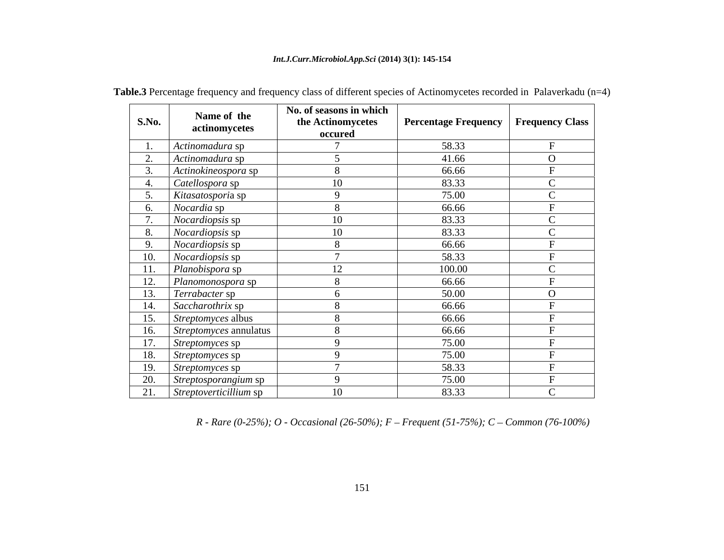#### *Int.J.Curr.Microbiol.App.Sci* **(2014) 3(1): 145-154**

| <b>S.No.</b> | Name of the<br>actinomycetes                       | No. of seasons in which<br>the Actinomycetes<br>occured | Percentage Frequency   Frequency Class |          |
|--------------|----------------------------------------------------|---------------------------------------------------------|----------------------------------------|----------|
|              | Actinomadura sp                                    |                                                         | 58.33                                  |          |
|              | Actinomadura sp                                    |                                                         | 41.66                                  | $\Omega$ |
|              | Actinokineospora sp                                |                                                         | 66.66                                  |          |
|              | Catellospora sp                                    | 1 <sub>0</sub>                                          | 83.33                                  |          |
|              | Kitasatosporia sp                                  |                                                         | 75.00                                  |          |
|              | <i>Nocardia</i> sp                                 |                                                         | 66.66                                  |          |
|              | <i>Nocardiopsis</i> sp                             | 1 <sub>0</sub>                                          | 83.33                                  |          |
|              | Nocardiopsis sp                                    | $10^{-1}$                                               | 83.33                                  |          |
|              | Nocardiopsis sp                                    |                                                         | 66.66                                  |          |
|              | <i>Nocardiopsis</i> sp                             |                                                         | 58.33                                  |          |
|              | 11. Planobispora sp                                | $1^{\circ}$                                             | 100.00                                 |          |
|              | 12. Planomonospora sp                              |                                                         | 66.66                                  |          |
|              | Terrabacter sp                                     |                                                         | 50.00                                  | $\Omega$ |
|              | Saccharothrix sp                                   |                                                         | 66.66                                  |          |
| 15.          | Streptomyces albus                                 |                                                         | 66.66                                  |          |
| 16.          | $\sqrt{\frac{1}{2}}$ <i>Streptomyces</i> annulatus |                                                         | 66.66                                  |          |
| 17.          | Streptomyces sp                                    |                                                         | 75.00                                  |          |
|              | 18. Streptomyces sp                                |                                                         | 75.00                                  |          |
|              | 19. Streptomyces sp                                |                                                         | 58.33                                  |          |
|              | 20. Streptosporangium sp                           |                                                         | 75.00                                  |          |
|              | 21. Streptoverticillium sp                         | 10                                                      | 83.33                                  |          |

**Table.3** Percentage frequency and frequency class of different species of Actinomycetes recorded in Palaverkadu (n=4)

*R* - Rare (0-25%); O - Occasional (26-50%); F – Frequent (51-75%); C – Common (76-100%)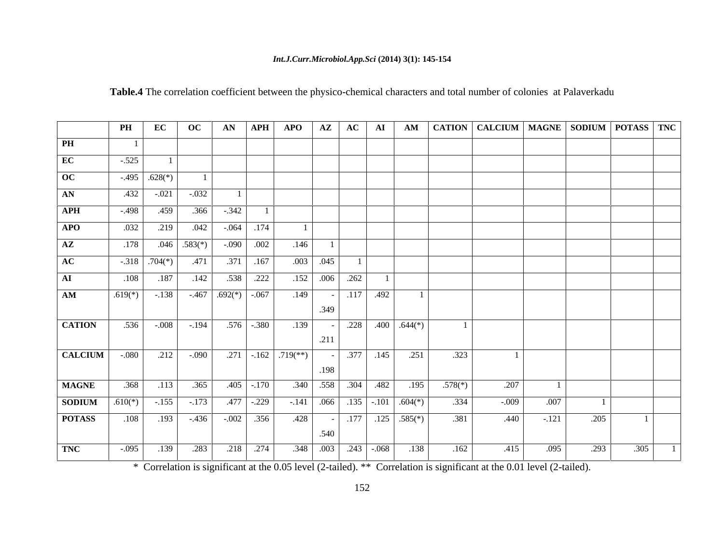#### *Int.J.Curr.Microbiol.App.Sci* **(2014) 3(1): 145-154**

|                                                                                                       | PH   EC   OC   AN  APH  APO   AZ   AC   AI   AM   CATION   CALCIUM   MAGNE   SODIUM   POTASS   TNC |  |  |      |  |      |      |                |                       |                    |
|-------------------------------------------------------------------------------------------------------|----------------------------------------------------------------------------------------------------|--|--|------|--|------|------|----------------|-----------------------|--------------------|
| PH                                                                                                    |                                                                                                    |  |  |      |  |      |      |                |                       |                    |
| EC                                                                                                    | the contract of the contract of<br>$-.525$                                                         |  |  |      |  |      |      |                |                       |                    |
| $\overline{OC}$                                                                                       | $-0.495$ .628(*)                                                                                   |  |  |      |  |      |      |                |                       |                    |
| AN                                                                                                    | $-0.021$ $-0.032$                                                                                  |  |  |      |  |      |      |                |                       |                    |
| APH -.498 .459 .366 -.342 1                                                                           |                                                                                                    |  |  |      |  |      |      |                |                       |                    |
| <b>APO</b>                                                                                            | $.032$ $.219$ $.042$ $.064$ $.174$                                                                 |  |  |      |  |      |      |                |                       |                    |
| <b>AZ</b> 178 $.046 \cdot .583(*)$ $.090 \cdot .002$ 146                                              |                                                                                                    |  |  |      |  |      |      |                |                       |                    |
| AC                                                                                                    | $-318$ $704(*)$ $471$ $371$ $167$ $003$ $045$                                                      |  |  |      |  |      |      |                |                       |                    |
| $\overline{\mathbf{AI}}$                                                                              |                                                                                                    |  |  |      |  |      |      |                |                       |                    |
|                                                                                                       |                                                                                                    |  |  |      |  |      |      |                |                       |                    |
|                                                                                                       |                                                                                                    |  |  |      |  |      |      |                |                       |                    |
| <b>CATION</b> 536 -.008 -.194 576 -.380 .139 - .228 .400 .644(*)                                      |                                                                                                    |  |  |      |  |      |      |                |                       |                    |
|                                                                                                       |                                                                                                    |  |  |      |  |      |      |                |                       |                    |
| <b>CALCIUM</b> -.080 212 -.090 271 -.162 719(**) - 377 .145 251                                       |                                                                                                    |  |  |      |  | .323 |      |                |                       |                    |
|                                                                                                       |                                                                                                    |  |  | .198 |  |      |      |                |                       |                    |
| MAGNE 368 .113 .365 .405 .170 .340 .558 .304 .482 .195 .578(*)                                        |                                                                                                    |  |  |      |  |      | .207 |                |                       |                    |
| <b>SODIUM</b> $.610(*)$ $-.155$ $-.173$ $.477$ $-.229$ $-.141$ $.066$ $.135$ $-.101$ $.604(*)$ $.334$ |                                                                                                    |  |  |      |  |      |      | $-0.009$ 0.007 |                       |                    |
| <b>POTASS</b> .108 .193 .436 -.002 .356 .428 - .177 .125 .585(*) .381                                 |                                                                                                    |  |  |      |  |      |      |                | $.440$ $-.121$ $.205$ | — <del>—————</del> |
|                                                                                                       |                                                                                                    |  |  |      |  |      |      |                |                       |                    |
| TNC -.095 .139 .283 .218 .274 .348 .003 .243 -.068 .138 .162 .415 .095 .293 .305 1                    |                                                                                                    |  |  |      |  |      |      |                |                       |                    |
|                                                                                                       |                                                                                                    |  |  |      |  |      |      |                |                       |                    |

**Table.4** The correlation coefficient between the physico-chemical characters and total number of colonies at Palaverkadu

\* Correlation is significant at the 0.05 level (2-tailed). \*\* Correlation is significant at the 0.01 level (2-tailed).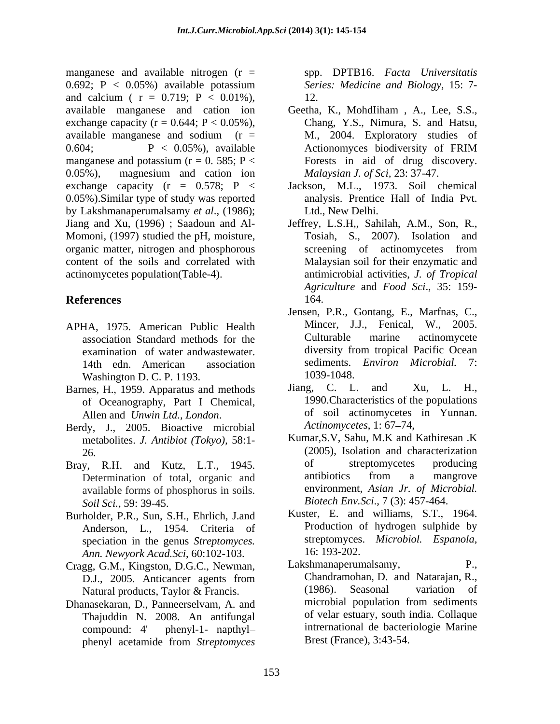manganese and available nitrogen  $(r =$ 0.692; P < 0.05%) available potassium and calcium (  $r = 0.719$ ;  $P < 0.01\%$ ), 12. available manganese and cation ion Geetha, K., MohdIiham , A., Lee, S.S., exchange capacity ( $r = 0.644$ ;  $P < 0.05\%$ ), Chang, Y.S., Nimura, S. and Hatsu, available manganese and sodium ( $r = M$ ., 2004. Exploratory studies of 0.604; P < 0.05%), available Action exponentially by Action extending points are presented as  $P \lt 0.05\%$ , available manganese and potassium ( $r = 0$ . 585; P < 0.05%), magnesium and cation ion *Malaysian J. of Sci*, 23: 37-47. exchange capacity  $(r = 0.578; P <$ 0.05%).Similar type of study was reported by Lakshmanaperumalsamy *et al*., (1986); Jiang and Xu, (1996) ; Saadoun and Al- Jeffrey, L.S.H,, Sahilah, A.M., Son, R., Momoni, (1997) studied the pH, moisture, organic matter, nitrogen and phosphorous content of the soils and correlated with actinomycetes population(Table-4). antimicrobial activities, *J. of Tropical*

- APHA, 1975. American Public Health Mincer, J.J., Fenical, W., 2005.<br>association Standard methods for the Culturable marine actinomycete association Standard methods for the examination of water andwastewater. Washington D. C. P. 1193.<br>
nes. H., 1959. Apparatus and methods Jiang, C. L. and Xu, L. H.,
- Barnes, H., 1959. Apparatus and methods of Oceanography, Part I Chemical,
- Berdy, J., 2005. Bioactive microbial metabolites. *J. Antibiot (Tokyo),* 58:1-
- available forms of phosphorus in soils. *Soil Sci.*, 59: 39-45.
- Burholder, P.R., Sun, S.H., Ehrlich, J.and Anderson, L., 1954. Criteria of speciation in the genus *Streptomyces*. Streptomyces<br>
Ann *Newyork Acad Sci* 60:102-103 16:193-202. *Ann. Newyork Acad.Sci*, 60:102-103.
- Cragg, G.M., Kingston, D.G.C., Newman,
- Dhanasekaran, D., Panneerselvam, A. and Thajuddin N. 2008. An antifungal phenyl acetamide from *Streptomyces*

spp. DPTB16. *Facta Universitatis Series: Medicine and Biology,* 15: 7- 12.

- Chang, Y.S., Nimura, S. and Hatsu, M., 2004. Exploratory studies of Actionomyces biodiversity of FRIM Forests in aid of drug discovery. *Malaysian J. of Sci,* 23: 37-47.
- Jackson, M.L., 1973. Soil chemical analysis. Prentice Hall of India Pvt. Ltd., New Delhi.
- **References** Tosiah, S., 2007). Isolation and screening of actinomycetes from Malaysian soil for their enzymatic and *Agriculture* and *Food Sci*., 35: 159- 164.
	- 14th edn. American association sediments. *Environ Microbial*. 7: Jensen, P.R., Gontang, E., Marfnas, C., Mincer, J.J., Fenical, W., 2005. Culturable marine actinomycete diversity from tropical Pacific Ocean sediments. *Environ Microbial.* 7: 1039-1048.
	- Allen and *Unwin Ltd., London.* of soil actinomycetes dy I 2005 Bioactive microbial *Actinomycetes, 1:* 67–74, Jiang, C. L. and Xu, L. H., 1990.Characteristics of the populations of soil actinomycetes in Yunnan. *Actinomycetes*, 1:67–74,
- 26. (2005), Isolation and characterization Bray, R.H. and Kutz, L.T., 1945. of streptomycetes producing<br>Determination of total organic and antibiotics from a mangrove Determination of total, organic and<br>antibiotics from a mangrove<br>environment, Asian Jr. of Microbial. Kumar,S.V, Sahu, M.K and Kathiresan .K of streptomycetes producing antibiotics from a mangrove environment, *Asian Jr. of Microbial.Biotech Env.Sci*., 7 (3): 457-464.
	- Kuster, E. and williams, S.T., 1964. Production of hydrogen sulphide by streptomyces. *Microbiol. Espanola*,
	- D.J., 2005. Anticancer agents from Chandramohan, D. and Natarajan, R., Natural products, Taylor & Francis. (1986). Seasonal variation of variation of variation of nasekaran D Panneerselvam A and microbial population from sediments compound: 4' phenyl-1- napthyl intrernational de bacteriologie Marine Lakshmanaperumalsamy, Chandramohan, D. and Natarajan, R., (1986). Seasonal variation of microbial population from sediments of velar estuary, south india. Collaque Brest (France), 3:43-54.